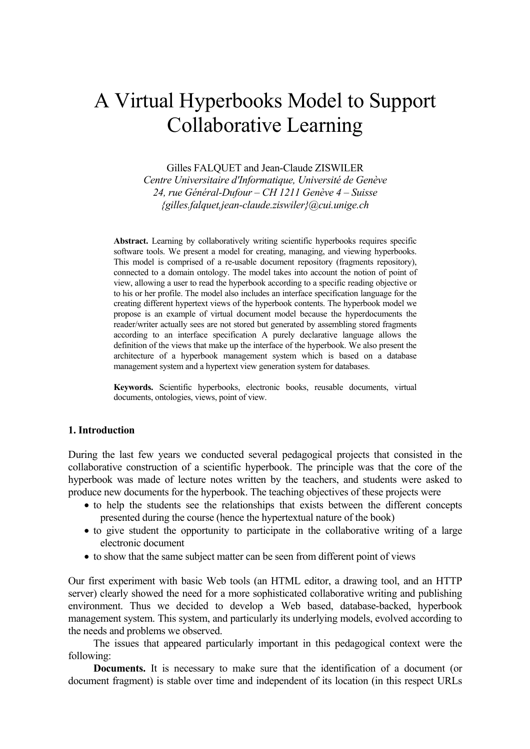# A Virtual Hyperbooks Model to Support Collaborative Learning

Gilles FALQUET and Jean-Claude ZISWILER *Centre Universitaire d'Informatique, Université de Genève 24, rue Général-Dufour – CH 1211 Genève 4 – Suisse {gilles.falquet,jean-claude.ziswiler}@cui.unige.ch* 

**Abstract.** Learning by collaboratively writing scientific hyperbooks requires specific software tools. We present a model for creating, managing, and viewing hyperbooks. This model is comprised of a re-usable document repository (fragments repository), connected to a domain ontology. The model takes into account the notion of point of view, allowing a user to read the hyperbook according to a specific reading objective or to his or her profile. The model also includes an interface specification language for the creating different hypertext views of the hyperbook contents. The hyperbook model we propose is an example of virtual document model because the hyperdocuments the reader/writer actually sees are not stored but generated by assembling stored fragments according to an interface specification A purely declarative language allows the definition of the views that make up the interface of the hyperbook. We also present the architecture of a hyperbook management system which is based on a database management system and a hypertext view generation system for databases.

**Keywords.** Scientific hyperbooks, electronic books, reusable documents, virtual documents, ontologies, views, point of view.

#### **1. Introduction**

During the last few years we conducted several pedagogical projects that consisted in the collaborative construction of a scientific hyperbook. The principle was that the core of the hyperbook was made of lecture notes written by the teachers, and students were asked to produce new documents for the hyperbook. The teaching objectives of these projects were

- to help the students see the relationships that exists between the different concepts presented during the course (hence the hypertextual nature of the book)
- to give student the opportunity to participate in the collaborative writing of a large electronic document
- to show that the same subject matter can be seen from different point of views

Our first experiment with basic Web tools (an HTML editor, a drawing tool, and an HTTP server) clearly showed the need for a more sophisticated collaborative writing and publishing environment. Thus we decided to develop a Web based, database-backed, hyperbook management system. This system, and particularly its underlying models, evolved according to the needs and problems we observed.

 The issues that appeared particularly important in this pedagogical context were the following:

**Documents.** It is necessary to make sure that the identification of a document (or document fragment) is stable over time and independent of its location (in this respect URLs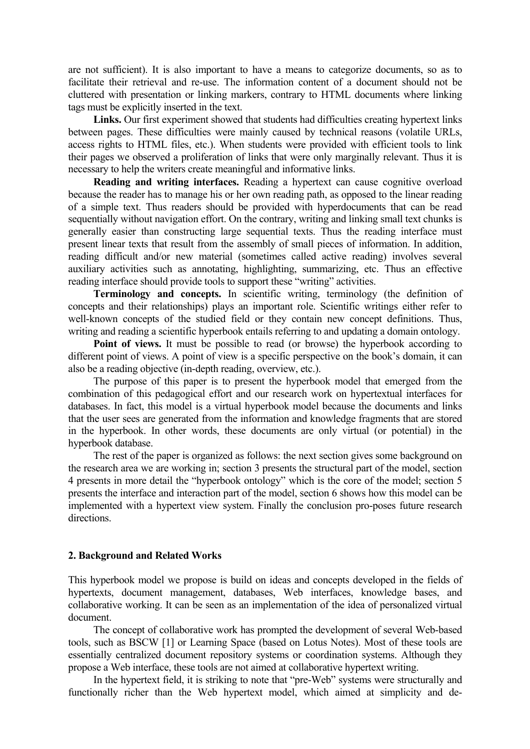are not sufficient). It is also important to have a means to categorize documents, so as to facilitate their retrieval and re-use. The information content of a document should not be cluttered with presentation or linking markers, contrary to HTML documents where linking tags must be explicitly inserted in the text.

**Links.** Our first experiment showed that students had difficulties creating hypertext links between pages. These difficulties were mainly caused by technical reasons (volatile URLs, access rights to HTML files, etc.). When students were provided with efficient tools to link their pages we observed a proliferation of links that were only marginally relevant. Thus it is necessary to help the writers create meaningful and informative links.

**Reading and writing interfaces.** Reading a hypertext can cause cognitive overload because the reader has to manage his or her own reading path, as opposed to the linear reading of a simple text. Thus readers should be provided with hyperdocuments that can be read sequentially without navigation effort. On the contrary, writing and linking small text chunks is generally easier than constructing large sequential texts. Thus the reading interface must present linear texts that result from the assembly of small pieces of information. In addition, reading difficult and/or new material (sometimes called active reading) involves several auxiliary activities such as annotating, highlighting, summarizing, etc. Thus an effective reading interface should provide tools to support these "writing" activities.

**Terminology and concepts.** In scientific writing, terminology (the definition of concepts and their relationships) plays an important role. Scientific writings either refer to well-known concepts of the studied field or they contain new concept definitions. Thus, writing and reading a scientific hyperbook entails referring to and updating a domain ontology.

**Point of views.** It must be possible to read (or browse) the hyperbook according to different point of views. A point of view is a specific perspective on the book's domain, it can also be a reading objective (in-depth reading, overview, etc.).

 The purpose of this paper is to present the hyperbook model that emerged from the combination of this pedagogical effort and our research work on hypertextual interfaces for databases. In fact, this model is a virtual hyperbook model because the documents and links that the user sees are generated from the information and knowledge fragments that are stored in the hyperbook. In other words, these documents are only virtual (or potential) in the hyperbook database.

 The rest of the paper is organized as follows: the next section gives some background on the research area we are working in; section 3 presents the structural part of the model, section 4 presents in more detail the "hyperbook ontology" which is the core of the model; section 5 presents the interface and interaction part of the model, section 6 shows how this model can be implemented with a hypertext view system. Finally the conclusion pro-poses future research directions.

#### **2. Background and Related Works**

This hyperbook model we propose is build on ideas and concepts developed in the fields of hypertexts, document management, databases, Web interfaces, knowledge bases, and collaborative working. It can be seen as an implementation of the idea of personalized virtual document.

 The concept of collaborative work has prompted the development of several Web-based tools, such as BSCW [1] or Learning Space (based on Lotus Notes). Most of these tools are essentially centralized document repository systems or coordination systems. Although they propose a Web interface, these tools are not aimed at collaborative hypertext writing.

 In the hypertext field, it is striking to note that "pre-Web" systems were structurally and functionally richer than the Web hypertext model, which aimed at simplicity and de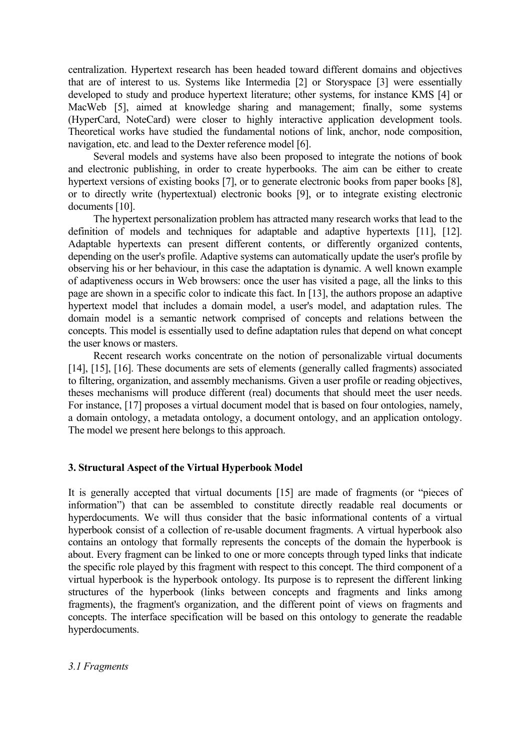centralization. Hypertext research has been headed toward different domains and objectives that are of interest to us. Systems like Intermedia [2] or Storyspace [3] were essentially developed to study and produce hypertext literature; other systems, for instance KMS [4] or MacWeb [5], aimed at knowledge sharing and management; finally, some systems (HyperCard, NoteCard) were closer to highly interactive application development tools. Theoretical works have studied the fundamental notions of link, anchor, node composition, navigation, etc. and lead to the Dexter reference model [6].

 Several models and systems have also been proposed to integrate the notions of book and electronic publishing, in order to create hyperbooks. The aim can be either to create hypertext versions of existing books [7], or to generate electronic books from paper books [8], or to directly write (hypertextual) electronic books [9], or to integrate existing electronic documents [10].

 The hypertext personalization problem has attracted many research works that lead to the definition of models and techniques for adaptable and adaptive hypertexts [11], [12]. Adaptable hypertexts can present different contents, or differently organized contents, depending on the user's profile. Adaptive systems can automatically update the user's profile by observing his or her behaviour, in this case the adaptation is dynamic. A well known example of adaptiveness occurs in Web browsers: once the user has visited a page, all the links to this page are shown in a specific color to indicate this fact. In [13], the authors propose an adaptive hypertext model that includes a domain model, a user's model, and adaptation rules. The domain model is a semantic network comprised of concepts and relations between the concepts. This model is essentially used to define adaptation rules that depend on what concept the user knows or masters.

 Recent research works concentrate on the notion of personalizable virtual documents [14], [15], [16]. These documents are sets of elements (generally called fragments) associated to filtering, organization, and assembly mechanisms. Given a user profile or reading objectives, theses mechanisms will produce different (real) documents that should meet the user needs. For instance, [17] proposes a virtual document model that is based on four ontologies, namely, a domain ontology, a metadata ontology, a document ontology, and an application ontology. The model we present here belongs to this approach.

# **3. Structural Aspect of the Virtual Hyperbook Model**

It is generally accepted that virtual documents [15] are made of fragments (or "pieces of information") that can be assembled to constitute directly readable real documents or hyperdocuments. We will thus consider that the basic informational contents of a virtual hyperbook consist of a collection of re-usable document fragments. A virtual hyperbook also contains an ontology that formally represents the concepts of the domain the hyperbook is about. Every fragment can be linked to one or more concepts through typed links that indicate the specific role played by this fragment with respect to this concept. The third component of a virtual hyperbook is the hyperbook ontology. Its purpose is to represent the different linking structures of the hyperbook (links between concepts and fragments and links among fragments), the fragment's organization, and the different point of views on fragments and concepts. The interface specification will be based on this ontology to generate the readable hyperdocuments.

#### *3.1 Fragments*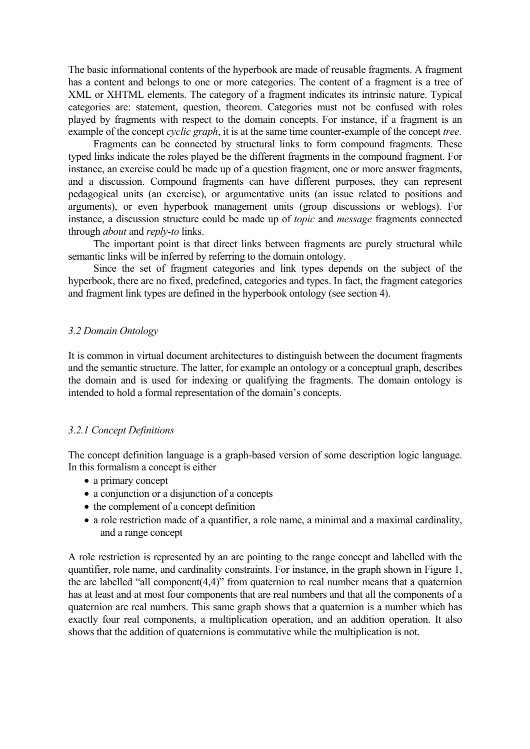The basic informational contents of the hyperbook are made of reusable fragments. A fragment has a content and belongs to one or more categories. The content of a fragment is a tree of XML or XHTML elements. The category of a fragment indicates its intrinsic nature. Typical categories are: statement, question, theorem. Categories must not be confused with roles played by fragments with respect to the domain concepts. For instance, if a fragment is an example of the concept *cyclic graph*, it is at the same time counter-example of the concept *tree*.

 Fragments can be connected by structural links to form compound fragments. These typed links indicate the roles played be the different fragments in the compound fragment. For instance, an exercise could be made up of a question fragment, one or more answer fragments, and a discussion. Compound fragments can have different purposes, they can represent pedagogical units (an exercise), or argumentative units (an issue related to positions and arguments), or even hyperbook management units (group discussions or weblogs). For instance, a discussion structure could be made up of *topic* and *message* fragments connected through *about* and *reply-to* links.

 The important point is that direct links between fragments are purely structural while semantic links will be inferred by referring to the domain ontology.

 Since the set of fragment categories and link types depends on the subject of the hyperbook, there are no fixed, predefined, categories and types. In fact, the fragment categories and fragment link types are defined in the hyperbook ontology (see section 4).

## *3.2 Domain Ontology*

It is common in virtual document architectures to distinguish between the document fragments and the semantic structure. The latter, for example an ontology or a conceptual graph, describes the domain and is used for indexing or qualifying the fragments. The domain ontology is intended to hold a formal representation of the domain's concepts.

# *3.2.1 Concept Definitions*

The concept definition language is a graph-based version of some description logic language. In this formalism a concept is either

- a primary concept
- a conjunction or a disjunction of a concepts
- the complement of a concept definition
- a role restriction made of a quantifier, a role name, a minimal and a maximal cardinality, and a range concept

A role restriction is represented by an arc pointing to the range concept and labelled with the quantifier, role name, and cardinality constraints. For instance, in the graph shown in Figure 1, the arc labelled "all component $(4,4)$ " from quaternion to real number means that a quaternion has at least and at most four components that are real numbers and that all the components of a quaternion are real numbers. This same graph shows that a quaternion is a number which has exactly four real components, a multiplication operation, and an addition operation. It also shows that the addition of quaternions is commutative while the multiplication is not.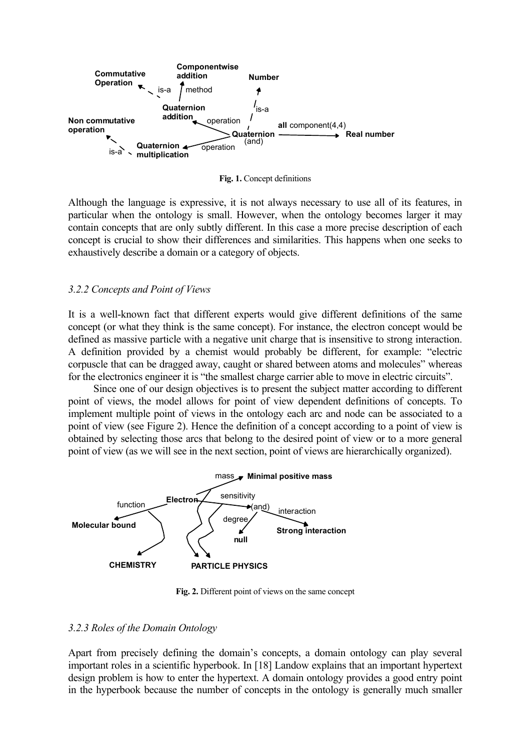

**Fig. 1.** Concept definitions

Although the language is expressive, it is not always necessary to use all of its features, in particular when the ontology is small. However, when the ontology becomes larger it may contain concepts that are only subtly different. In this case a more precise description of each concept is crucial to show their differences and similarities. This happens when one seeks to exhaustively describe a domain or a category of objects.

## *3.2.2 Concepts and Point of Views*

It is a well-known fact that different experts would give different definitions of the same concept (or what they think is the same concept). For instance, the electron concept would be defined as massive particle with a negative unit charge that is insensitive to strong interaction. A definition provided by a chemist would probably be different, for example: "electric corpuscle that can be dragged away, caught or shared between atoms and molecules" whereas for the electronics engineer it is "the smallest charge carrier able to move in electric circuits".

 Since one of our design objectives is to present the subject matter according to different point of views, the model allows for point of view dependent definitions of concepts. To implement multiple point of views in the ontology each arc and node can be associated to a point of view (see Figure 2). Hence the definition of a concept according to a point of view is obtained by selecting those arcs that belong to the desired point of view or to a more general point of view (as we will see in the next section, point of views are hierarchically organized).



**Fig. 2.** Different point of views on the same concept

## *3.2.3 Roles of the Domain Ontology*

Apart from precisely defining the domain's concepts, a domain ontology can play several important roles in a scientific hyperbook. In [18] Landow explains that an important hypertext design problem is how to enter the hypertext. A domain ontology provides a good entry point in the hyperbook because the number of concepts in the ontology is generally much smaller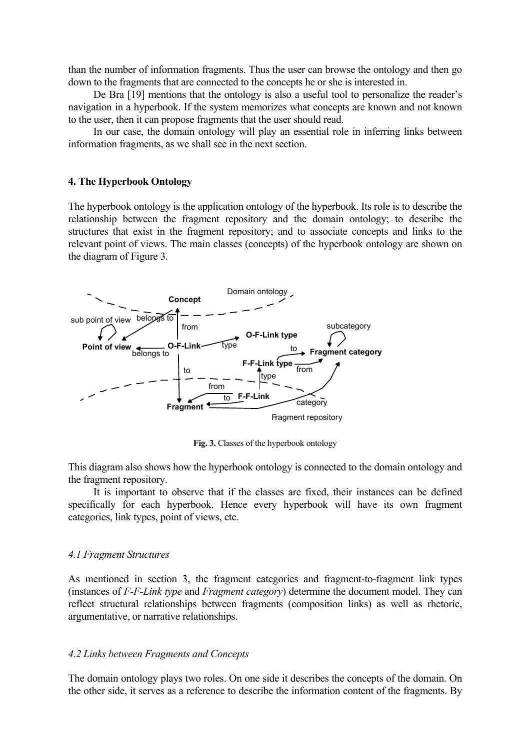than the number of information fragments. Thus the user can browse the ontology and then go down to the fragments that are connected to the concepts he or she is interested in.

 De Bra [19] mentions that the ontology is also a useful tool to personalize the reader's navigation in a hyperbook. If the system memorizes what concepts are known and not known to the user, then it can propose fragments that the user should read.

 In our case, the domain ontology will play an essential role in inferring links between information fragments, as we shall see in the next section.

#### **4. The Hyperbook Ontology**

The hyperbook ontology is the application ontology of the hyperbook. Its role is to describe the relationship between the fragment repository and the domain ontology; to describe the structures that exist in the fragment repository; and to associate concepts and links to the relevant point of views. The main classes (concepts) of the hyperbook ontology are shown on the diagram of Figure 3.



**Fig. 3.** Classes of the hyperbook ontology

This diagram also shows how the hyperbook ontology is connected to the domain ontology and the fragment repository.

 It is important to observe that if the classes are fixed, their instances can be defined specifically for each hyperbook. Hence every hyperbook will have its own fragment categories, link types, point of views, etc.

#### *4.1 Fragment Structures*

As mentioned in section 3, the fragment categories and fragment-to-fragment link types (instances of *F-F-Link type* and *Fragment category*) determine the document model. They can reflect structural relationships between fragments (composition links) as well as rhetoric, argumentative, or narrative relationships.

#### *4.2 Links between Fragments and Concepts*

The domain ontology plays two roles. On one side it describes the concepts of the domain. On the other side, it serves as a reference to describe the information content of the fragments. By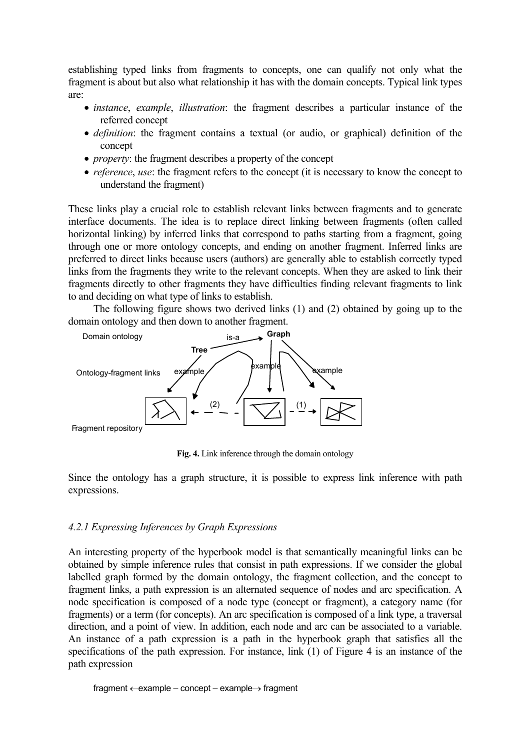establishing typed links from fragments to concepts, one can qualify not only what the fragment is about but also what relationship it has with the domain concepts. Typical link types are:

- *instance*, *example*, *illustration*: the fragment describes a particular instance of the referred concept
- *definition*: the fragment contains a textual (or audio, or graphical) definition of the concept
- *property*: the fragment describes a property of the concept
- *reference*, *use*: the fragment refers to the concept (it is necessary to know the concept to understand the fragment)

These links play a crucial role to establish relevant links between fragments and to generate interface documents. The idea is to replace direct linking between fragments (often called horizontal linking) by inferred links that correspond to paths starting from a fragment, going through one or more ontology concepts, and ending on another fragment. Inferred links are preferred to direct links because users (authors) are generally able to establish correctly typed links from the fragments they write to the relevant concepts. When they are asked to link their fragments directly to other fragments they have difficulties finding relevant fragments to link to and deciding on what type of links to establish.

 The following figure shows two derived links (1) and (2) obtained by going up to the domain ontology and then down to another fragment.



**Fig. 4.** Link inference through the domain ontology

Since the ontology has a graph structure, it is possible to express link inference with path expressions.

# *4.2.1 Expressing Inferences by Graph Expressions*

An interesting property of the hyperbook model is that semantically meaningful links can be obtained by simple inference rules that consist in path expressions. If we consider the global labelled graph formed by the domain ontology, the fragment collection, and the concept to fragment links, a path expression is an alternated sequence of nodes and arc specification. A node specification is composed of a node type (concept or fragment), a category name (for fragments) or a term (for concepts). An arc specification is composed of a link type, a traversal direction, and a point of view. In addition, each node and arc can be associated to a variable. An instance of a path expression is a path in the hyperbook graph that satisfies all the specifications of the path expression. For instance, link (1) of Figure 4 is an instance of the path expression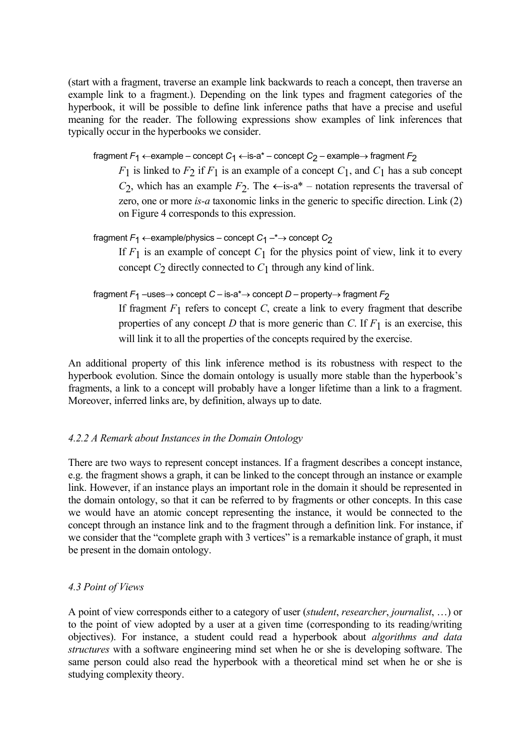(start with a fragment, traverse an example link backwards to reach a concept, then traverse an example link to a fragment.). Depending on the link types and fragment categories of the hyperbook, it will be possible to define link inference paths that have a precise and useful meaning for the reader. The following expressions show examples of link inferences that typically occur in the hyperbooks we consider.

fragment *F*1 ←example – concept *C*1 ←is-a\* – concept *C*2 – example→ fragment *F*2

 $F_1$  is linked to  $F_2$  if  $F_1$  is an example of a concept  $C_1$ , and  $C_1$  has a sub concept *C*<sub>2</sub>, which has an example *F*<sub>2</sub>. The  $\leftarrow$  is-a<sup>\*</sup> – notation represents the traversal of zero, one or more *is-a* taxonomic links in the generic to specific direction. Link (2) on Figure 4 corresponds to this expression.

fragment  $F_1 \leftarrow$ example/physics – concept  $C_1$  –<sup>\*</sup>  $\rightarrow$  concept  $C_2$ 

If  $F_1$  is an example of concept  $C_1$  for the physics point of view, link it to every concept  $C_2$  directly connected to  $C_1$  through any kind of link.

fragment *F*1 –uses→ concept *C* – is-a\*→ concept *D* – property→ fragment *F*2

If fragment  $F_1$  refers to concept  $C$ , create a link to every fragment that describe properties of any concept *D* that is more generic than *C*. If  $F_1$  is an exercise, this will link it to all the properties of the concepts required by the exercise.

An additional property of this link inference method is its robustness with respect to the hyperbook evolution. Since the domain ontology is usually more stable than the hyperbook's fragments, a link to a concept will probably have a longer lifetime than a link to a fragment. Moreover, inferred links are, by definition, always up to date.

# *4.2.2 A Remark about Instances in the Domain Ontology*

There are two ways to represent concept instances. If a fragment describes a concept instance, e.g. the fragment shows a graph, it can be linked to the concept through an instance or example link. However, if an instance plays an important role in the domain it should be represented in the domain ontology, so that it can be referred to by fragments or other concepts. In this case we would have an atomic concept representing the instance, it would be connected to the concept through an instance link and to the fragment through a definition link. For instance, if we consider that the "complete graph with 3 vertices" is a remarkable instance of graph, it must be present in the domain ontology.

# *4.3 Point of Views*

A point of view corresponds either to a category of user (*student*, *researcher*, *journalist*, …) or to the point of view adopted by a user at a given time (corresponding to its reading/writing objectives). For instance, a student could read a hyperbook about *algorithms and data structures* with a software engineering mind set when he or she is developing software. The same person could also read the hyperbook with a theoretical mind set when he or she is studying complexity theory.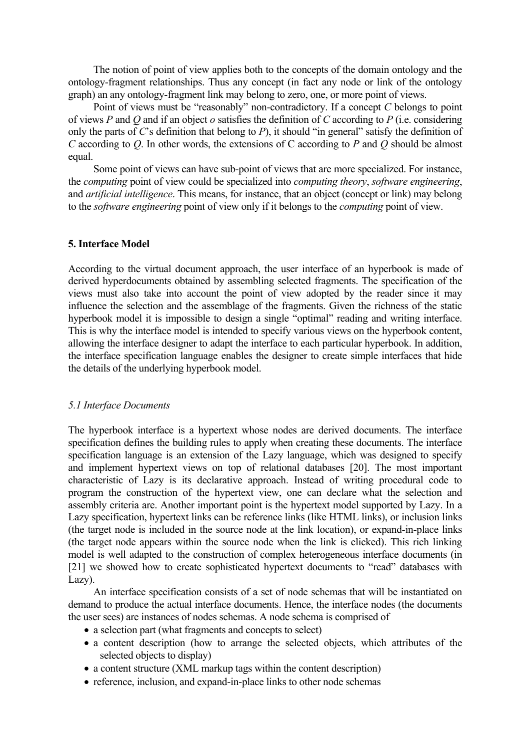The notion of point of view applies both to the concepts of the domain ontology and the ontology-fragment relationships. Thus any concept (in fact any node or link of the ontology graph) an any ontology-fragment link may belong to zero, one, or more point of views.

 Point of views must be "reasonably" non-contradictory. If a concept *C* belongs to point of views *P* and *Q* and if an object *o* satisfies the definition of *C* according to *P* (i.e. considering only the parts of *C*'s definition that belong to *P*), it should "in general" satisfy the definition of *C* according to *Q*. In other words, the extensions of C according to *P* and *Q* should be almost equal.

 Some point of views can have sub-point of views that are more specialized. For instance, the *computing* point of view could be specialized into *computing theory*, *software engineering*, and *artificial intelligence*. This means, for instance, that an object (concept or link) may belong to the *software engineering* point of view only if it belongs to the *computing* point of view.

#### **5. Interface Model**

According to the virtual document approach, the user interface of an hyperbook is made of derived hyperdocuments obtained by assembling selected fragments. The specification of the views must also take into account the point of view adopted by the reader since it may influence the selection and the assemblage of the fragments. Given the richness of the static hyperbook model it is impossible to design a single "optimal" reading and writing interface. This is why the interface model is intended to specify various views on the hyperbook content, allowing the interface designer to adapt the interface to each particular hyperbook. In addition, the interface specification language enables the designer to create simple interfaces that hide the details of the underlying hyperbook model.

#### *5.1 Interface Documents*

The hyperbook interface is a hypertext whose nodes are derived documents. The interface specification defines the building rules to apply when creating these documents. The interface specification language is an extension of the Lazy language, which was designed to specify and implement hypertext views on top of relational databases [20]. The most important characteristic of Lazy is its declarative approach. Instead of writing procedural code to program the construction of the hypertext view, one can declare what the selection and assembly criteria are. Another important point is the hypertext model supported by Lazy. In a Lazy specification, hypertext links can be reference links (like HTML links), or inclusion links (the target node is included in the source node at the link location), or expand-in-place links (the target node appears within the source node when the link is clicked). This rich linking model is well adapted to the construction of complex heterogeneous interface documents (in [21] we showed how to create sophisticated hypertext documents to "read" databases with Lazy).

 An interface specification consists of a set of node schemas that will be instantiated on demand to produce the actual interface documents. Hence, the interface nodes (the documents the user sees) are instances of nodes schemas. A node schema is comprised of

- a selection part (what fragments and concepts to select)
- a content description (how to arrange the selected objects, which attributes of the selected objects to display)
- a content structure (XML markup tags within the content description)
- reference, inclusion, and expand-in-place links to other node schemas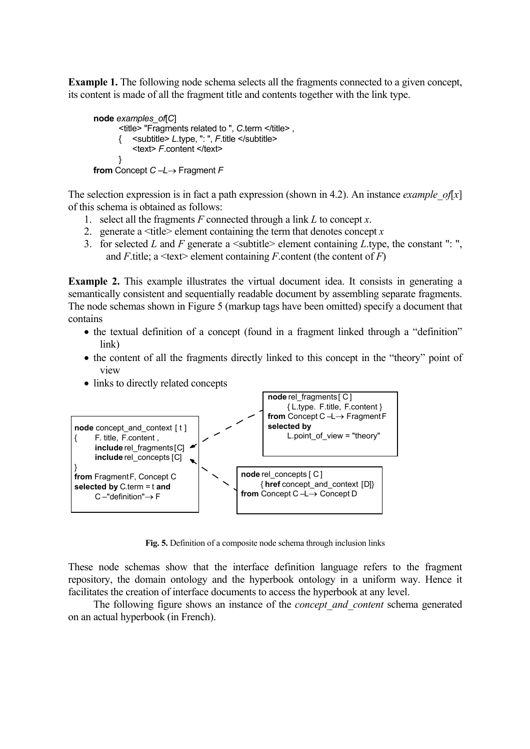**Example 1.** The following node schema selects all the fragments connected to a given concept, its content is made of all the fragment title and contents together with the link type.

```
node examples_of[C] 
             <title> "Fragments related to ", C.term </title> , 
             { <subtitle> L.type, ": ", F.title </subtitle> 
                 <text> F.content </text> 
 } 
      from Concept C –L→ Fragment F
```
The selection expression is in fact a path expression (shown in 4.2). An instance *example\_of*[*x*] of this schema is obtained as follows:

- 1. select all the fragments *F* connected through a link *L* to concept *x*.
- 2. generate a  $\lt{title}$  element containing the term that denotes concept *x*
- 3. for selected *L* and *F* generate a <subtitle> element containing *L*.type, the constant ": ", and *F*.title; a  $\leq$  text element containing *F*.content (the content of *F*)

**Example 2.** This example illustrates the virtual document idea. It consists in generating a semantically consistent and sequentially readable document by assembling separate fragments. The node schemas shown in Figure 5 (markup tags have been omitted) specify a document that contains

- the textual definition of a concept (found in a fragment linked through a "definition" link)
- the content of all the fragments directly linked to this concept in the "theory" point of view
- links to directly related concepts



**Fig. 5.** Definition of a composite node schema through inclusion links

These node schemas show that the interface definition language refers to the fragment repository, the domain ontology and the hyperbook ontology in a uniform way. Hence it facilitates the creation of interface documents to access the hyperbook at any level.

 The following figure shows an instance of the *concept\_and\_content* schema generated on an actual hyperbook (in French).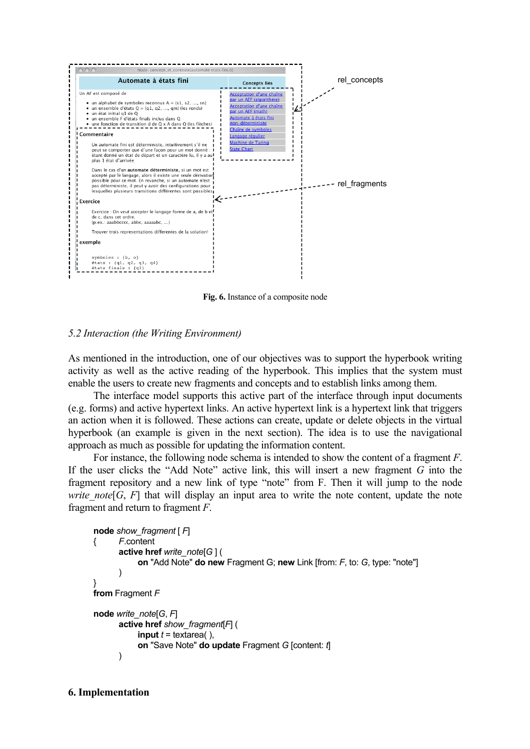

**Fig. 6.** Instance of a composite node

# *5.2 Interaction (the Writing Environment)*

As mentioned in the introduction, one of our objectives was to support the hyperbook writing activity as well as the active reading of the hyperbook. This implies that the system must enable the users to create new fragments and concepts and to establish links among them.

 The interface model supports this active part of the interface through input documents (e.g. forms) and active hypertext links. An active hypertext link is a hypertext link that triggers an action when it is followed. These actions can create, update or delete objects in the virtual hyperbook (an example is given in the next section). The idea is to use the navigational approach as much as possible for updating the information content.

 For instance, the following node schema is intended to show the content of a fragment *F*. If the user clicks the "Add Note" active link, this will insert a new fragment *G* into the fragment repository and a new link of type "note" from F. Then it will jump to the node *write* note<sup>[ $G$ </sup>,  $F$ ] that will display an input area to write the note content, update the note fragment and return to fragment *F*.

```
node show_fragment [ F] 
       { F.content 
              active href write_note[G ] ( 
                    on "Add Note" do new Fragment G; new Link [from: F, to: G, type: "note"] 
\overline{\phantom{a}} } 
      from Fragment F 
      node write_note[G, F] 
              active href show_fragment[F] ( 
                   input t = textarea(\theta),
                   on "Save Note" do update Fragment G [content: t] 
\overline{\phantom{a}}
```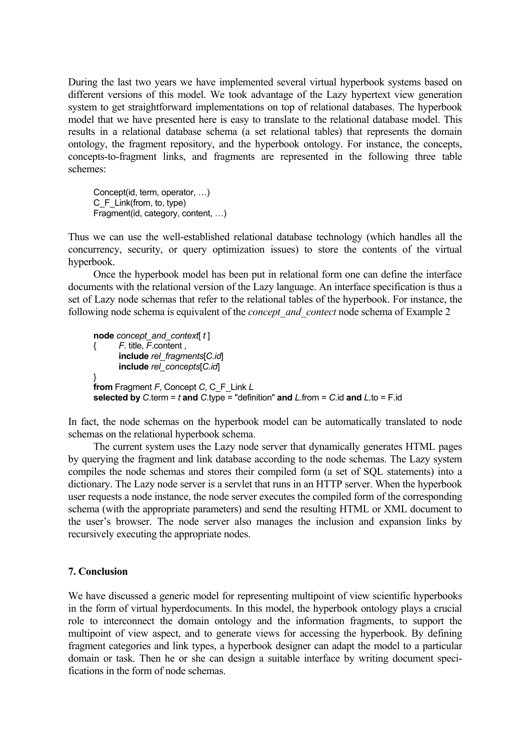During the last two years we have implemented several virtual hyperbook systems based on different versions of this model. We took advantage of the Lazy hypertext view generation system to get straightforward implementations on top of relational databases. The hyperbook model that we have presented here is easy to translate to the relational database model. This results in a relational database schema (a set relational tables) that represents the domain ontology, the fragment repository, and the hyperbook ontology. For instance, the concepts, concepts-to-fragment links, and fragments are represented in the following three table schemes:

 Concept(id, term, operator, …) C\_F\_Link(from, to, type) Fragment(id, category, content, …)

Thus we can use the well-established relational database technology (which handles all the concurrency, security, or query optimization issues) to store the contents of the virtual hyperbook.

 Once the hyperbook model has been put in relational form one can define the interface documents with the relational version of the Lazy language. An interface specification is thus a set of Lazy node schemas that refer to the relational tables of the hyperbook. For instance, the following node schema is equivalent of the *concept\_and\_contect* node schema of Example 2

**node** *concept\_and\_context*[ *t* ] { *F*. title, *F*.content , **include** *rel\_fragments*[*C.id*] **include** *rel\_concepts*[*C.id*] } **from** Fragment *F*, Concept *C*, C\_F\_Link *L*  **selected by** *C*.term = *t* **and** *C*.type = "definition" **and** *L*.from = *C*.id **and** *L*.to = F.id

In fact, the node schemas on the hyperbook model can be automatically translated to node schemas on the relational hyperbook schema.

 The current system uses the Lazy node server that dynamically generates HTML pages by querying the fragment and link database according to the node schemas. The Lazy system compiles the node schemas and stores their compiled form (a set of SQL statements) into a dictionary. The Lazy node server is a servlet that runs in an HTTP server. When the hyperbook user requests a node instance, the node server executes the compiled form of the corresponding schema (with the appropriate parameters) and send the resulting HTML or XML document to the user's browser. The node server also manages the inclusion and expansion links by recursively executing the appropriate nodes.

# **7. Conclusion**

We have discussed a generic model for representing multipoint of view scientific hyperbooks in the form of virtual hyperdocuments. In this model, the hyperbook ontology plays a crucial role to interconnect the domain ontology and the information fragments, to support the multipoint of view aspect, and to generate views for accessing the hyperbook. By defining fragment categories and link types, a hyperbook designer can adapt the model to a particular domain or task. Then he or she can design a suitable interface by writing document specifications in the form of node schemas.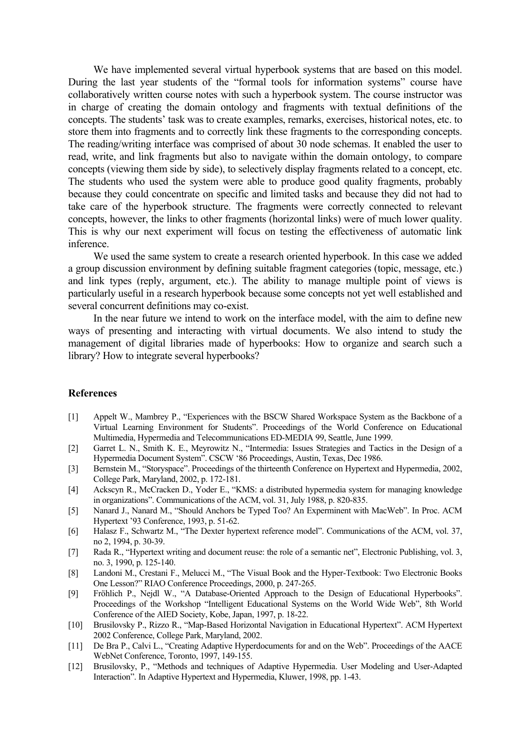We have implemented several virtual hyperbook systems that are based on this model. During the last year students of the "formal tools for information systems" course have collaboratively written course notes with such a hyperbook system. The course instructor was in charge of creating the domain ontology and fragments with textual definitions of the concepts. The students' task was to create examples, remarks, exercises, historical notes, etc. to store them into fragments and to correctly link these fragments to the corresponding concepts. The reading/writing interface was comprised of about 30 node schemas. It enabled the user to read, write, and link fragments but also to navigate within the domain ontology, to compare concepts (viewing them side by side), to selectively display fragments related to a concept, etc. The students who used the system were able to produce good quality fragments, probably because they could concentrate on specific and limited tasks and because they did not had to take care of the hyperbook structure. The fragments were correctly connected to relevant concepts, however, the links to other fragments (horizontal links) were of much lower quality. This is why our next experiment will focus on testing the effectiveness of automatic link inference.

 We used the same system to create a research oriented hyperbook. In this case we added a group discussion environment by defining suitable fragment categories (topic, message, etc.) and link types (reply, argument, etc.). The ability to manage multiple point of views is particularly useful in a research hyperbook because some concepts not yet well established and several concurrent definitions may co-exist.

 In the near future we intend to work on the interface model, with the aim to define new ways of presenting and interacting with virtual documents. We also intend to study the management of digital libraries made of hyperbooks: How to organize and search such a library? How to integrate several hyperbooks?

#### **References**

- [1] Appelt W., Mambrey P., "Experiences with the BSCW Shared Workspace System as the Backbone of a Virtual Learning Environment for Students". Proceedings of the World Conference on Educational Multimedia, Hypermedia and Telecommunications ED-MEDIA 99, Seattle, June 1999.
- [2] Garret L. N., Smith K. E., Meyrowitz N., "Intermedia: Issues Strategies and Tactics in the Design of a Hypermedia Document System". CSCW '86 Proceedings, Austin, Texas, Dec 1986.
- [3] Bernstein M., "Storyspace". Proceedings of the thirteenth Conference on Hypertext and Hypermedia, 2002, College Park, Maryland, 2002, p. 172-181.
- [4] Ackscyn R., McCracken D., Yoder E., "KMS: a distributed hypermedia system for managing knowledge in organizations". Communications of the ACM, vol. 31, July 1988, p. 820-835.
- [5] Nanard J., Nanard M., "Should Anchors be Typed Too? An Experminent with MacWeb". In Proc. ACM Hypertext '93 Conference, 1993, p. 51-62.
- [6] Halasz F., Schwartz M., "The Dexter hypertext reference model". Communications of the ACM, vol. 37, no 2, 1994, p. 30-39.
- [7] Rada R., "Hypertext writing and document reuse: the role of a semantic net", Electronic Publishing, vol. 3, no. 3, 1990, p. 125-140.
- [8] Landoni M., Crestani F., Melucci M., "The Visual Book and the Hyper-Textbook: Two Electronic Books One Lesson?" RIAO Conference Proceedings, 2000, p. 247-265.
- [9] Fröhlich P., Nejdl W., "A Database-Oriented Approach to the Design of Educational Hyperbooks". Proceedings of the Workshop "Intelligent Educational Systems on the World Wide Web", 8th World Conference of the AIED Society, Kobe, Japan, 1997, p. 18-22.
- [10] Brusilovsky P., Rizzo R., "Map-Based Horizontal Navigation in Educational Hypertext". ACM Hypertext 2002 Conference, College Park, Maryland, 2002.
- [11] De Bra P., Calvi L., "Creating Adaptive Hyperdocuments for and on the Web". Proceedings of the AACE WebNet Conference, Toronto, 1997, 149-155.
- [12] Brusilovsky, P., "Methods and techniques of Adaptive Hypermedia. User Modeling and User-Adapted Interaction". In Adaptive Hypertext and Hypermedia, Kluwer, 1998, pp. 1-43.